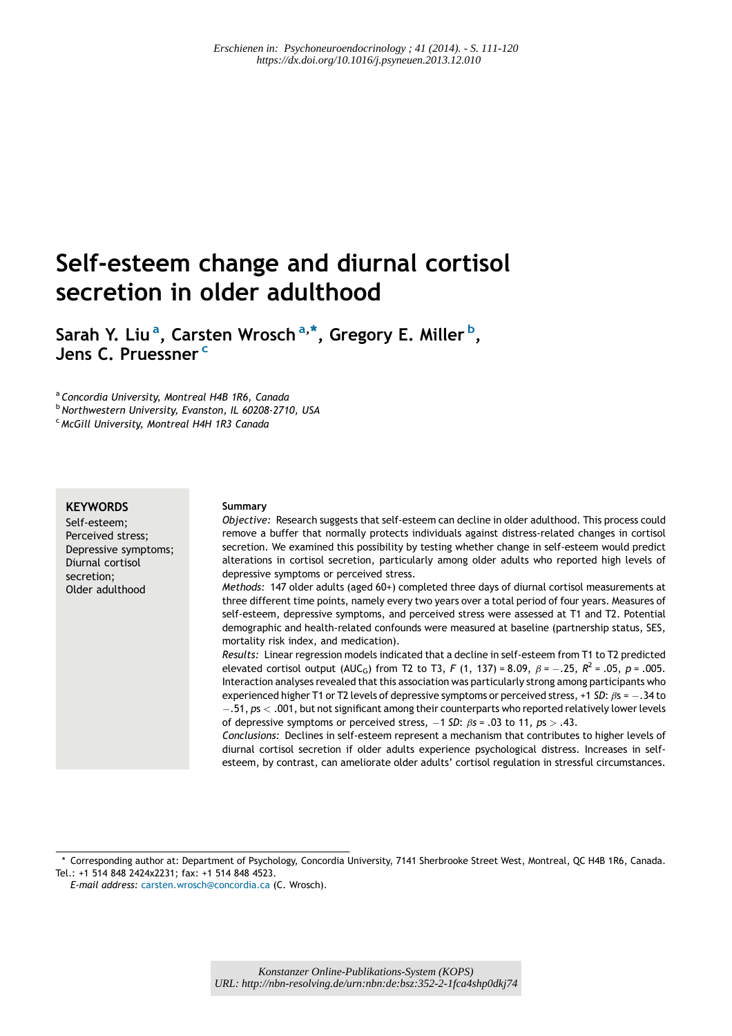# Self-esteem change and diurnal cortisol secretion in older adulthood

Sarah Y. Liu<sup>a</sup>, Carsten Wrosch<sup>a,\*</sup>, Gregory E. Miller<sup>b</sup>, Jens C. Pruessner<sup>c</sup>

<sup>a</sup> Concordia University, Montreal H4B 1R6, Canada

<sup>b</sup> Northwestern University, Evanston, IL 60208-2710, USA

<sup>c</sup> McGill University, Montreal H4H 1R3 Canada

#### **KEYWORDS**

Self-esteem; Perceived stress; Depressive symptoms; Diurnal cortisol secretion; Older adulthood

#### Summary

Objective: Research suggests that self-esteem can decline in older adulthood. This process could remove a buffer that normally protects individuals against distress-related changes in cortisol secretion. We examined this possibility by testing whether change in self-esteem would predict alterations in cortisol secretion, particularly among older adults who reported high levels of depressive symptoms or perceived stress.

Methods: 147 older adults (aged 60+) completed three days of diurnal cortisol measurements at three different time points, namely every two years over a total period of four years. Measures of self-esteem, depressive symptoms, and perceived stress were assessed at T1 and T2. Potential demographic and health-related confounds were measured at baseline (partnership status, SES, mortality risk index, and medication).

Results: Linear regression models indicated that a decline in self-esteem from T1 to T2 predicted elevated cortisol output (AUC<sub>G</sub>) from T2 to T3, F (1, 137) = 8.09,  $\beta$  =  $-.25$ ,  $R^2$  = .05,  $p$  = .005. Interaction analyses revealed that this association was particularly strong among participants who experienced higher T1 or T2 levels of depressive symptoms or perceived stress, +1 SD:  $\beta$ s =  $-$ .34 to  $- .51,$   $\mathsf{ps} < .001,$  but not significant among their counterparts who reported relatively lower levels of depressive symptoms or perceived stress,  $-1$  SD:  $\beta$ s = .03 to 11,  $p$ s  $>$  .43.

Conclusions: Declines in self-esteem represent a mechanism that contributes to higher levels of diurnal cortisol secretion if older adults experience psychological distress. Increases in selfesteem, by contrast, can ameliorate older adults' cortisol regulation in stressful circumstances.

<sup>\*</sup> Corresponding author at: Department of Psychology, Concordia University, 7141 Sherbrooke Street West, Montreal, QC H4B 1R6, Canada. Tel.: +1 514 848 2424x2231; fax: +1 514 848 4523.

E-mail address: carsten.wrosch@concordia.ca (C. Wrosch).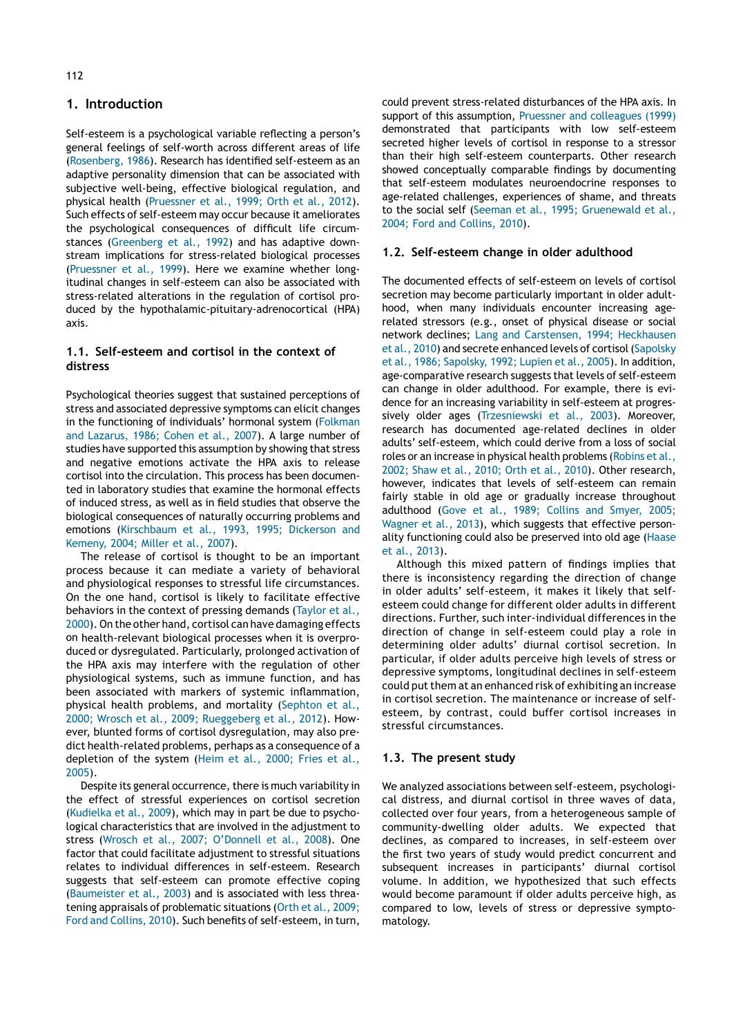## 1. Introduction

Self-esteem is a psychological variable reflecting a person's general feelings of self-worth across different areas of life (Rosenberg, 1986). Research has identified self-esteem as an adaptive personality dimension that can be associated with subjective well-being, effective biological regulation, and physical health (Pruessner et al., 1999; Orth et al., 2012). Such effects of self-esteem may occur because it ameliorates the psychological consequences of difficult life circumstances (Greenberg et al., 1992) and has adaptive downstream implications for stress-related biological processes (Pruessner et al., 1999). Here we examine whether longitudinal changes in self-esteem can also be associated with stress-related alterations in the regulation of cortisol produced by the hypothalamic-pituitary-adrenocortical (HPA) axis.

## 1.1. Self-esteem and cortisol in the context of distress

Psychological theories suggest that sustained perceptions of stress and associated depressive symptoms can elicit changes in the functioning of individuals' hormonal system (Folkman and Lazarus, 1986; Cohen et al., 2007). A large number of studies have supported this assumption by showing that stress and negative emotions activate the HPA axis to release cortisol into the circulation. This process has been documented in laboratory studies that examine the hormonal effects of induced stress, as well as in field studies that observe the biological consequences of naturally occurring problems and emotions (Kirschbaum et al., 1993, 1995; Dickerson and Kemeny, 2004; Miller et al., 2007).

The release of cortisol is thought to be an important process because it can mediate a variety of behavioral and physiological responses to stressful life circumstances. On the one hand, cortisol is likely to facilitate effective behaviors in the context of pressing demands (Taylor et al., 2000). On the other hand, cortisol can have damaging effects on health-relevant biological processes when it is overproduced or dysregulated. Particularly, prolonged activation of the HPA axis may interfere with the regulation of other physiological systems, such as immune function, and has been associated with markers of systemic inflammation, physical health problems, and mortality (Sephton et al., 2000; Wrosch et al., 2009; Rueggeberg et al., 2012). However, blunted forms of cortisol dysregulation, may also predict health-related problems, perhaps as a consequence of a depletion of the system (Heim et al., 2000; Fries et al., 2005).

Despite its general occurrence, there is much variability in the effect of stressful experiences on cortisol secretion (Kudielka et al., 2009), which may in part be due to psychological characteristics that are involved in the adjustment to stress (Wrosch et al., 2007; O'Donnell et al., 2008). One factor that could facilitate adjustment to stressful situations relates to individual differences in self-esteem. Research suggests that self-esteem can promote effective coping (Baumeister et al., 2003) and is associated with less threatening appraisals of problematic situations (Orth et al., 2009; Ford and Collins, 2010). Such benefits of self-esteem, in turn,

could prevent stress-related disturbances of the HPA axis. In support of this assumption, Pruessner and colleagues (1999) demonstrated that participants with low self-esteem secreted higher levels of cortisol in response to a stressor than their high self-esteem counterparts. Other research showed conceptually comparable findings by documenting that self-esteem modulates neuroendocrine responses to age-related challenges, experiences of shame, and threats to the social self (Seeman et al., 1995; Gruenewald et al., 2004; Ford and Collins, 2010).

## 1.2. Self-esteem change in older adulthood

The documented effects of self-esteem on levels of cortisol secretion may become particularly important in older adulthood, when many individuals encounter increasing agerelated stressors (e.g., onset of physical disease or social network declines; Lang and Carstensen, 1994; Heckhausen et al., 2010) and secrete enhanced levels of cortisol (Sapolsky et al., 1986; Sapolsky, 1992; Lupien et al., 2005). In addition, age-comparative research suggests that levels of self-esteem can change in older adulthood. For example, there is evidence for an increasing variability in self-esteem at progressively older ages (Trzesniewski et al., 2003). Moreover, research has documented age-related declines in older adults' self-esteem, which could derive from a loss of social roles or an increase in physical health problems(Robins et al., 2002; Shaw et al., 2010; Orth et al., 2010). Other research, however, indicates that levels of self-esteem can remain fairly stable in old age or gradually increase throughout adulthood (Gove et al., 1989; Collins and Smyer, 2005; Wagner et al., 2013), which suggests that effective personality functioning could also be preserved into old age (Haase et al., 2013).

Although this mixed pattern of findings implies that there is inconsistency regarding the direction of change in older adults' self-esteem, it makes it likely that selfesteem could change for different older adults in different directions. Further, such inter-individual differences in the direction of change in self-esteem could play a role in determining older adults' diurnal cortisol secretion. In particular, if older adults perceive high levels of stress or depressive symptoms, longitudinal declines in self-esteem could put them at an enhanced risk of exhibiting an increase in cortisol secretion. The maintenance or increase of selfesteem, by contrast, could buffer cortisol increases in stressful circumstances.

#### 1.3. The present study

We analyzed associations between self-esteem, psychological distress, and diurnal cortisol in three waves of data, collected over four years, from a heterogeneous sample of community-dwelling older adults. We expected that declines, as compared to increases, in self-esteem over the first two years of study would predict concurrent and subsequent increases in participants' diurnal cortisol volume. In addition, we hypothesized that such effects would become paramount if older adults perceive high, as compared to low, levels of stress or depressive symptomatology.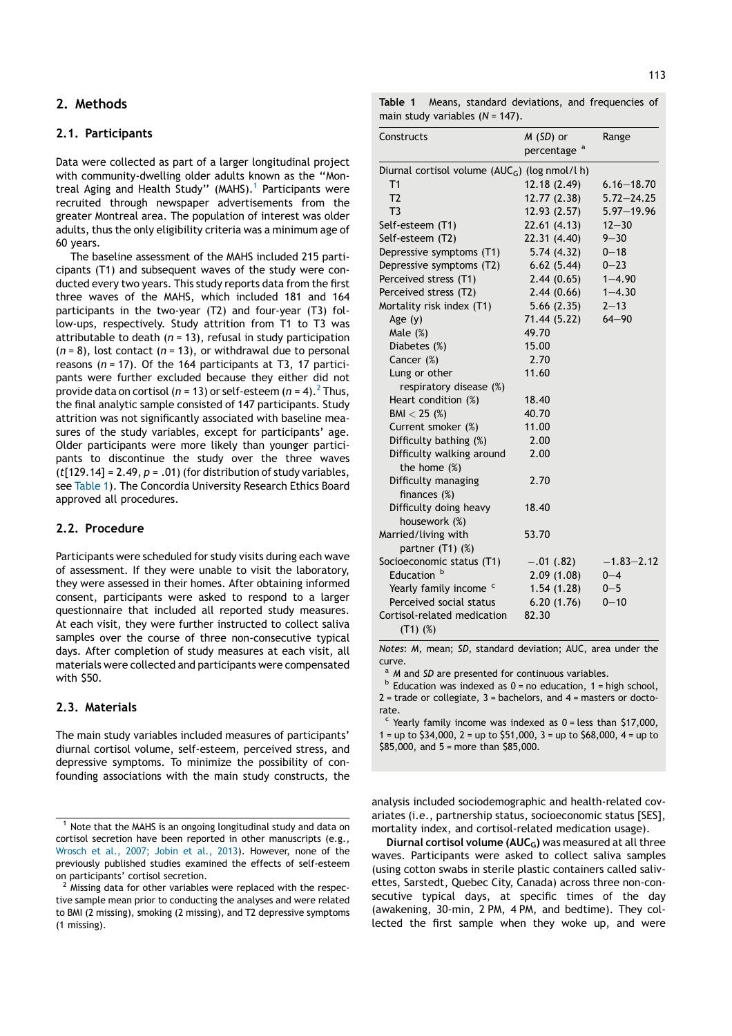## 2. Methods

#### 2.1. Participants

Data were collected as part of a larger longitudinal project with community-dwelling older adults known as the ''Montreal Aging and Health Study" (MAHS).<sup>1</sup> Participants were recruited through newspaper advertisements from the greater Montreal area. The population of interest was older adults, thus the only eligibility criteria was a minimum age of 60 years.

The baseline assessment of the MAHS included 215 participants (T1) and subsequent waves of the study were conducted every two years. This study reports data from the first three waves of the MAHS, which included 181 and 164 participants in the two-year (T2) and four-year (T3) follow-ups, respectively. Study attrition from T1 to T3 was attributable to death  $(n = 13)$ , refusal in study participation  $(n = 8)$ , lost contact  $(n = 13)$ , or withdrawal due to personal reasons ( $n = 17$ ). Of the 164 participants at T3, 17 participants were further excluded because they either did not provide data on cortisol ( $n = 13$ ) or self-esteem ( $n = 4$ ).<sup>2</sup> Thus, the final analytic sample consisted of 147 participants. Study attrition was not significantly associated with baseline measures of the study variables, except for participants' age. Older participants were more likely than younger participants to discontinue the study over the three waves ( $t$ [129.14] = 2.49,  $p = .01$ ) (for distribution of study variables, see Table 1). The Concordia University Research Ethics Board approved all procedures.

#### 2.2. Procedure

Participants were scheduled for study visits during each wave of assessment. If they were unable to visit the laboratory, they were assessed in their homes. After obtaining informed consent, participants were asked to respond to a larger questionnaire that included all reported study measures. At each visit, they were further instructed to collect saliva samples over the course of three non-consecutive typical days. After completion of study measures at each visit, all materials were collected and participants were compensated with \$50.

## 2.3. Materials

The main study variables included measures of participants' diurnal cortisol volume, self-esteem, perceived stress, and depressive symptoms. To minimize the possibility of confounding associations with the main study constructs, the

| Constructs                                                 | $M(SD)$ or<br>percentage <sup>a</sup> | Range          |  |  |  |  |
|------------------------------------------------------------|---------------------------------------|----------------|--|--|--|--|
| Diurnal cortisol volume (AUC <sub>G</sub> ) (log nmol/l h) |                                       |                |  |  |  |  |
| T <sub>1</sub>                                             | 12.18 (2.49)                          | $6.16 - 18.70$ |  |  |  |  |
| T <sub>2</sub>                                             | 12.77 (2.38)                          | $5.72 - 24.25$ |  |  |  |  |
| T <sub>3</sub>                                             | 12.93 (2.57)                          | $5.97 - 19.96$ |  |  |  |  |
| Self-esteem (T1)                                           | 22.61(4.13)                           | $12 - 30$      |  |  |  |  |
| Self-esteem (T2)                                           | 22.31 (4.40)                          | $9 - 30$       |  |  |  |  |
| Depressive symptoms (T1)                                   | 5.74(4.32)                            | $0 - 18$       |  |  |  |  |
| Depressive symptoms (T2)                                   | 6.62(5.44)                            | $0 - 23$       |  |  |  |  |
| Perceived stress (T1)                                      | 2.44(0.65)                            | $1 - 4.90$     |  |  |  |  |
| Perceived stress (T2)                                      | 2.44(0.66)                            | $1 - 4.30$     |  |  |  |  |
| Mortality risk index (T1)                                  | 5.66(2.35)                            | $2 - 13$       |  |  |  |  |
| Age $(y)$                                                  | 71.44 (5.22)                          | $64 - 90$      |  |  |  |  |
| Male $(\%)$                                                | 49.70                                 |                |  |  |  |  |
| Diabetes (%)                                               | 15.00                                 |                |  |  |  |  |
| Cancer (%)                                                 | 2.70                                  |                |  |  |  |  |
| Lung or other                                              | 11.60                                 |                |  |  |  |  |
| respiratory disease (%)                                    |                                       |                |  |  |  |  |
| Heart condition (%)                                        | 18.40                                 |                |  |  |  |  |
| $BM < 25$ (%)                                              | 40.70                                 |                |  |  |  |  |
| Current smoker (%)                                         | 11.00                                 |                |  |  |  |  |
| Difficulty bathing (%)                                     | 2.00                                  |                |  |  |  |  |
| Difficulty walking around<br>the home $(\%)$               | 2.00                                  |                |  |  |  |  |
| Difficulty managing<br>finances $(\%)$                     | 2.70                                  |                |  |  |  |  |
| Difficulty doing heavy<br>housework (%)                    | 18.40                                 |                |  |  |  |  |
| Married/living with<br>partner (T1) (%)                    | 53.70                                 |                |  |  |  |  |
| Socioeconomic status (T1)                                  | $-.01$ (.82)                          | $-1.83 - 2.12$ |  |  |  |  |
| Education <sup>b</sup>                                     | 2.09(1.08)                            | $0 - 4$        |  |  |  |  |
| Yearly family income c                                     | 1.54(1.28)                            | $0 - 5$        |  |  |  |  |
| Perceived social status                                    | 6.20(1.76)                            | $0 - 10$       |  |  |  |  |
| Cortisol-related medication<br>$(T1)$ (%)                  | 82.30                                 |                |  |  |  |  |

Notes: M, mean; SD, standard deviation; AUC, area under the curve.

<sup>a</sup> M and SD are presented for continuous variables.<br><sup>b</sup> Education was indexed as 0 = no education, 1 = high school,  $2$  = trade or collegiate,  $3$  = bachelors, and  $4$  = masters or doctorate.

 $\epsilon$  Yearly family income was indexed as 0 = less than \$17,000. 1 = up to  $$34,000$ , 2 = up to  $$51,000$ , 3 = up to  $$68,000$ , 4 = up to \$85,000, and 5 = more than \$85,000.

analysis included sociodemographic and health-related covariates (i.e., partnership status, socioeconomic status [SES], mortality index, and cortisol-related medication usage).

Diurnal cortisol volume (AUC<sub>G</sub>) was measured at all three waves. Participants were asked to collect saliva samples (using cotton swabs in sterile plastic containers called salivettes, Sarstedt, Quebec City, Canada) across three non-consecutive typical days, at specific times of the day (awakening, 30-min, 2 PM, 4 PM, and bedtime). They collected the first sample when they woke up, and were

<sup>1</sup> Note that the MAHS is an ongoing longitudinal study and data on cortisol secretion have been reported in other manuscripts (e.g., Wrosch et al., 2007; Jobin et al., 2013). However, none of the previously published studies examined the effects of self-esteem on participants' cortisol secretion.

 $2$  Missing data for other variables were replaced with the respective sample mean prior to conducting the analyses and were related to BMI (2 missing), smoking (2 missing), and T2 depressive symptoms (1 missing).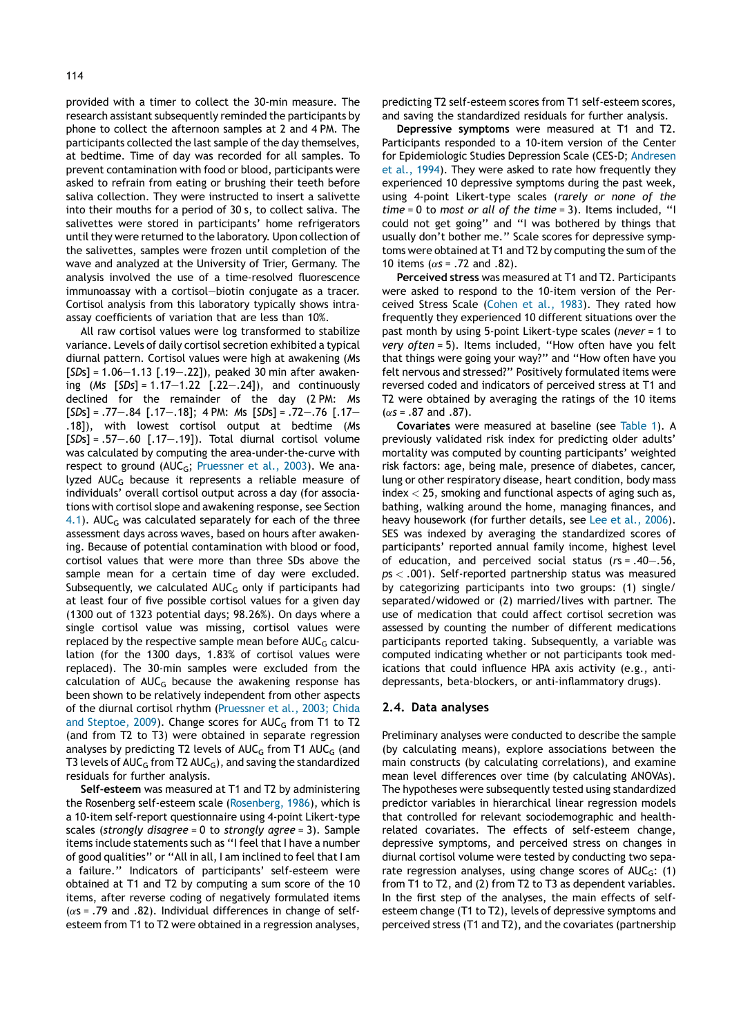provided with a timer to collect the 30-min measure. The research assistant subsequently reminded the participants by phone to collect the afternoon samples at 2 and 4 PM. The participants collected the last sample of the day themselves, at bedtime. Time of day was recorded for all samples. To prevent contamination with food or blood, participants were asked to refrain from eating or brushing their teeth before saliva collection. They were instructed to insert a salivette into their mouths for a period of 30 s, to collect saliva. The salivettes were stored in participants' home refrigerators until they were returned to the laboratory. Upon collection of

the salivettes, samples were frozen until completion of the wave and analyzed at the University of Trier, Germany. The analysis involved the use of a time-resolved fluorescence immunoassay with a cortisol—biotin conjugate as a tracer. Cortisol analysis from this laboratory typically shows intraassay coefficients of variation that are less than 10%. All raw cortisol values were log transformed to stabilize

variance. Levels of daily cortisol secretion exhibited a typical diurnal pattern. Cortisol values were high at awakening (Ms  $[SDs] = 1.06 - 1.13$   $[.19 - .22]$ , peaked 30 min after awakening  $(Ms [SDs] = 1.17 - 1.22 [0.22 - 0.24])$ , and continuously declined for the remainder of the day (2 PM: Ms  $[SDs] = .77-.84$   $[.17-.18]$ ; 4 PM: Ms  $[SDs] = .72-.76$   $[.17-$ .18]), with lowest cortisol output at bedtime (Ms  $[SDs] = .57-.60$   $[.17-.19]$ . Total diurnal cortisol volume was calculated by computing the area-under-the-curve with respect to ground (AUC<sub>G</sub>; Pruessner et al., 2003). We analyzed AUCG because it represents a reliable measure of individuals' overall cortisol output across a day (for associations with cortisol slope and awakening response, see Section 4.1). AUC<sub>G</sub> was calculated separately for each of the three assessment days across waves, based on hours after awakening. Because of potential contamination with blood or food, cortisol values that were more than three SDs above the sample mean for a certain time of day were excluded. Subsequently, we calculated  $AUC_G$  only if participants had at least four of five possible cortisol values for a given day (1300 out of 1323 potential days; 98.26%). On days where a single cortisol value was missing, cortisol values were replaced by the respective sample mean before  $AUC_G$  calculation (for the 1300 days, 1.83% of cortisol values were replaced). The 30-min samples were excluded from the calculation of  $AUC_G$  because the awakening response has been shown to be relatively independent from other aspects of the diurnal cortisol rhythm (Pruessner et al., 2003; Chida and Steptoe, 2009). Change scores for  $AUC_G$  from T1 to T2 (and from T2 to T3) were obtained in separate regression analyses by predicting T2 levels of  $AUC_G$  from T1  $AUC_G$  (and T3 levels of  $AUC_G$  from T2  $AUC_G$ ), and saving the standardized residuals for further analysis.

Self-esteem was measured at T1 and T2 by administering the Rosenberg self-esteem scale (Rosenberg, 1986), which is a 10-item self-report questionnaire using 4-point Likert-type scales (strongly disagree =  $0$  to strongly agree = 3). Sample items include statements such as ''I feel that I have a number of good qualities'' or ''All in all, I am inclined to feel that I am a failure.'' Indicators of participants' self-esteem were obtained at T1 and T2 by computing a sum score of the 10 items, after reverse coding of negatively formulated items  $(\alpha s = .79$  and .82). Individual differences in change of selfesteem from T1 to T2 were obtained in a regression analyses,

predicting T2 self-esteem scores from T1 self-esteem scores, and saving the standardized residuals for further analysis.

Depressive symptoms were measured at T1 and T2. Participants responded to a 10-item version of the Center for Epidemiologic Studies Depression Scale (CES-D; Andresen et al., 1994). They were asked to rate how frequently they experienced 10 depressive symptoms during the past week, using 4-point Likert-type scales (rarely or none of the  $time = 0$  to most or all of the time = 3). Items included, "I could not get going'' and ''I was bothered by things that usually don't bother me.'' Scale scores for depressive symptoms were obtained at T1 and T2 by computing the sum of the 10 items ( $\alpha$ s = .72 and .82).

Perceived stress was measured at T1 and T2. Participants were asked to respond to the 10-item version of the Perceived Stress Scale (Cohen et al., 1983). They rated how frequently they experienced 10 different situations over the past month by using 5-point Likert-type scales (never = 1 to very often = 5). Items included, ''How often have you felt that things were going your way?'' and ''How often have you felt nervous and stressed?'' Positively formulated items were reversed coded and indicators of perceived stress at T1 and T2 were obtained by averaging the ratings of the 10 items  $(\alpha s = .87$  and  $.87)$ .

Covariates were measured at baseline (see Table 1). A previously validated risk index for predicting older adults' mortality was computed by counting participants' weighted risk factors: age, being male, presence of diabetes, cancer, lung or other respiratory disease, heart condition, body mass index < 25, smoking and functional aspects of aging such as, bathing, walking around the home, managing finances, and heavy housework (for further details, see Lee et al., 2006). SES was indexed by averaging the standardized scores of participants' reported annual family income, highest level of education, and perceived social status (rs = .40—.56,  $ps < .001$ ). Self-reported partnership status was measured by categorizing participants into two groups: (1) single/ separated/widowed or (2) married/lives with partner. The use of medication that could affect cortisol secretion was assessed by counting the number of different medications participants reported taking. Subsequently, a variable was computed indicating whether or not participants took medications that could influence HPA axis activity (e.g., antidepressants, beta-blockers, or anti-inflammatory drugs).

#### 2.4. Data analyses

Preliminary analyses were conducted to describe the sample (by calculating means), explore associations between the main constructs (by calculating correlations), and examine mean level differences over time (by calculating ANOVAs). The hypotheses were subsequently tested using standardized predictor variables in hierarchical linear regression models that controlled for relevant sociodemographic and healthrelated covariates. The effects of self-esteem change, depressive symptoms, and perceived stress on changes in diurnal cortisol volume were tested by conducting two separate regression analyses, using change scores of  $AUC_G$ : (1) from T1 to T2, and (2) from T2 to T3 as dependent variables. In the first step of the analyses, the main effects of selfesteem change (T1 to T2), levels of depressive symptoms and perceived stress (T1 and T2), and the covariates (partnership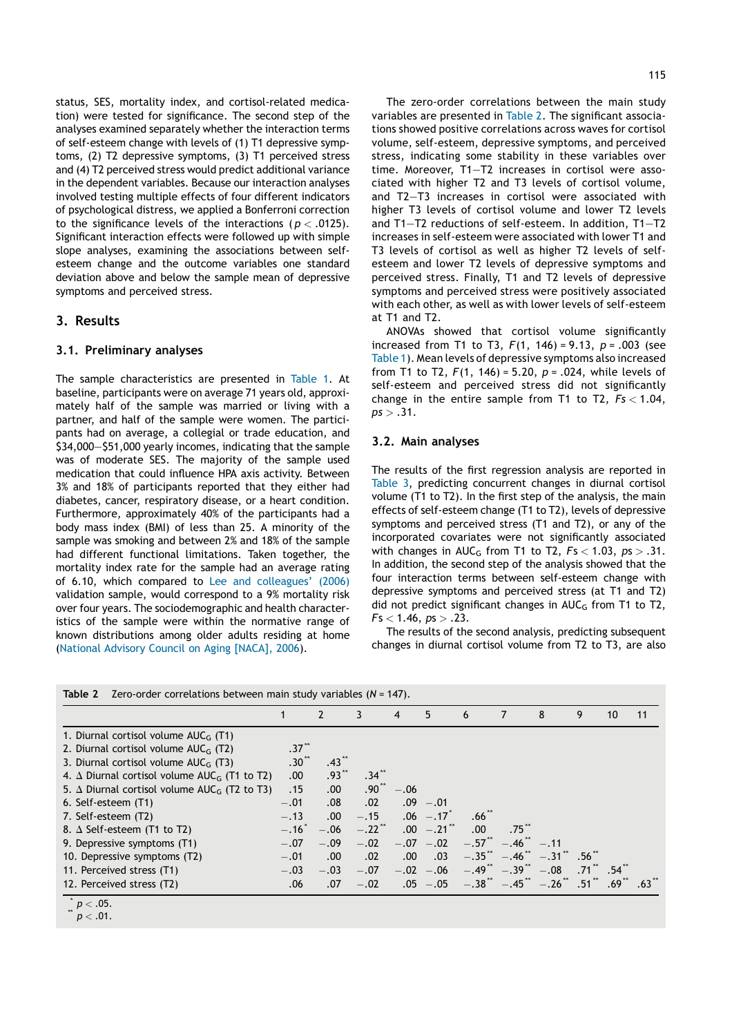status, SES, mortality index, and cortisol-related medication) were tested for significance. The second step of the analyses examined separately whether the interaction terms of self-esteem change with levels of (1) T1 depressive symptoms, (2) T2 depressive symptoms, (3) T1 perceived stress and (4) T2 perceived stress would predict additional variance in the dependent variables. Because our interaction analyses involved testing multiple effects of four different indicators of psychological distress, we applied a Bonferroni correction to the significance levels of the interactions ( $p < .0125$ ). Significant interaction effects were followed up with simple slope analyses, examining the associations between selfesteem change and the outcome variables one standard deviation above and below the sample mean of depressive symptoms and perceived stress.

## 3. Results

#### 3.1. Preliminary analyses

The sample characteristics are presented in Table 1. At baseline, participants were on average 71 years old, approximately half of the sample was married or living with a partner, and half of the sample were women. The participants had on average, a collegial or trade education, and \$34,000—\$51,000 yearly incomes, indicating that the sample was of moderate SES. The majority of the sample used medication that could influence HPA axis activity. Between 3% and 18% of participants reported that they either had diabetes, cancer, respiratory disease, or a heart condition. Furthermore, approximately 40% of the participants had a body mass index (BMI) of less than 25. A minority of the sample was smoking and between 2% and 18% of the sample had different functional limitations. Taken together, the mortality index rate for the sample had an average rating of 6.10, which compared to Lee and colleagues' (2006) validation sample, would correspond to a 9% mortality risk over four years. The sociodemographic and health characteristics of the sample were within the normative range of known distributions among older adults residing at home (National Advisory Council on Aging [NACA], 2006).

Table 2 Zero-order correlations between main study variables (N = 147).

The zero-order correlations between the main study variables are presented in Table 2. The significant associations showed positive correlations across waves for cortisol volume, self-esteem, depressive symptoms, and perceived stress, indicating some stability in these variables over time. Moreover, T1—T2 increases in cortisol were associated with higher T2 and T3 levels of cortisol volume, and T2—T3 increases in cortisol were associated with higher T3 levels of cortisol volume and lower T2 levels and T1—T2 reductions of self-esteem. In addition, T1—T2 increases in self-esteem were associated with lower T1 and T3 levels of cortisol as well as higher T2 levels of selfesteem and lower T2 levels of depressive symptoms and perceived stress. Finally, T1 and T2 levels of depressive symptoms and perceived stress were positively associated with each other, as well as with lower levels of self-esteem at T1 and T2.

ANOVAs showed that cortisol volume significantly increased from T1 to T3,  $F(1, 146) = 9.13$ ,  $p = .003$  (see Table 1). Mean levels of depressive symptoms also increased from T1 to T2,  $F(1, 146) = 5.20$ ,  $p = .024$ , while levels of self-esteem and perceived stress did not significantly change in the entire sample from T1 to T2,  $Fs < 1.04$ ,  $ps > .31$ .

#### 3.2. Main analyses

The results of the first regression analysis are reported in Table 3, predicting concurrent changes in diurnal cortisol volume (T1 to T2). In the first step of the analysis, the main effects of self-esteem change (T1 to T2), levels of depressive symptoms and perceived stress (T1 and T2), or any of the incorporated covariates were not significantly associated with changes in  $AUC_G$  from T1 to T2,  $Fs < 1.03$ ,  $ps > .31$ . In addition, the second step of the analysis showed that the four interaction terms between self-esteem change with depressive symptoms and perceived stress (at T1 and T2) did not predict significant changes in  $AUC_G$  from T1 to T2,  $Fs < 1.46$ ,  $ps > .23$ .

The results of the second analysis, predicting subsequent changes in diurnal cortisol volume from T2 to T3, are also

|                                                                    |                      |                 | 3                 | 4           | 5                         | 6         |                             | 8                                | 9   | 10                  | 11 |
|--------------------------------------------------------------------|----------------------|-----------------|-------------------|-------------|---------------------------|-----------|-----------------------------|----------------------------------|-----|---------------------|----|
| 1. Diurnal cortisol volume $AUC_G$ (T1)                            |                      |                 |                   |             |                           |           |                             |                                  |     |                     |    |
| 2. Diurnal cortisol volume $AUC_G$ (T2)                            | $.37$ <sup>"</sup>   |                 |                   |             |                           |           |                             |                                  |     |                     |    |
| 3. Diurnal cortisol volume $AUC_G$ (T3)                            | $.30^{\prime\prime}$ | $.43$ $\ddot{}$ |                   |             |                           |           |                             |                                  |     |                     |    |
| 4. $\Delta$ Diurnal cortisol volume AUC <sub>G</sub> (T1 to T2)    | .00                  | $.93***$        | .34 <sup>th</sup> |             |                           |           |                             |                                  |     |                     |    |
| 5. $\triangle$ Diurnal cortisol volume AUC <sub>G</sub> (T2 to T3) | .15                  | .00.            | .90 <sup>°</sup>  | $-.06$      |                           |           |                             |                                  |     |                     |    |
| 6. Self-esteem (T1)                                                | $-.01$               | .08             | .02               |             | $.09 - .01$               |           |                             |                                  |     |                     |    |
| 7. Self-esteem (T2)                                                | $-.13$               | .00.            | $-.15$            |             | $.06 - .17$               | .66       |                             |                                  |     |                     |    |
| 8. $\Delta$ Self-esteem (T1 to T2)                                 | $-.16"$              | $-.06$          | $-.22$ **         |             | $.00 - .21$ <sup>**</sup> | .00.      | .75                         |                                  |     |                     |    |
| 9. Depressive symptoms (T1)                                        | $-.07$               | $-.09$          | $-.02$            |             | $-.07-.02$                | $-.57$ ** | $-.46$ <sup>"</sup> $-.11$  |                                  |     |                     |    |
| 10. Depressive symptoms (T2)                                       | $-.01$               | .00.            | .02               | $.00 \cdot$ | .03                       | $-.35$    |                             | $-.46"$ $-.31"$ $.56"$           |     |                     |    |
| 11. Perceived stress (T1)                                          | $-.03$               | $-.03$          | $-.07$            |             | $-.02-.06$                |           | $-.49$ $-.39$ $\phantom{0}$ | $-.08$                           | .71 | .54                 |    |
| 12. Perceived stress (T2)                                          | .06                  | .07             | $-.02$            |             | $.05 - .05$               |           |                             | $-.38$ $-.45$ $-.26$ $.51$ $.51$ |     | $.69$ $*$ $.63$ $*$ |    |

$$
\int\limits_{0}^{x}p<.05.
$$
  
 $p<.01.$ 

$$
p<.01.
$$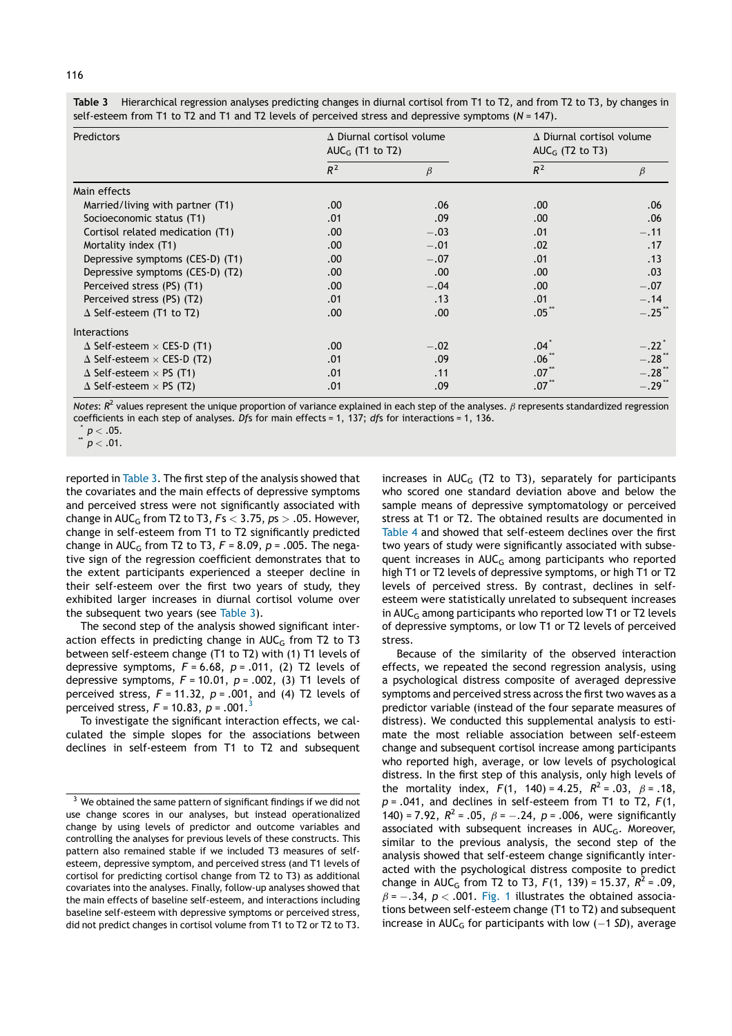| Predictors                               | AUC <sub>G</sub> (T1 to T2) | $\Delta$ Diurnal cortisol volume | $\Delta$ Diurnal cortisol volume<br>AUC <sub>G</sub> (T <sub>2</sub> to T <sub>3</sub> ) |                      |  |
|------------------------------------------|-----------------------------|----------------------------------|------------------------------------------------------------------------------------------|----------------------|--|
|                                          | $R^2$                       | $\beta$                          | $R^2$                                                                                    | β                    |  |
| Main effects                             |                             |                                  |                                                                                          |                      |  |
| Married/living with partner (T1)         | .00                         | .06                              | .00.                                                                                     | .06                  |  |
| Socioeconomic status (T1)                | .01                         | .09                              | .00.                                                                                     | .06                  |  |
| Cortisol related medication (T1)         | .00.                        | $-.03$                           | .01                                                                                      | $-.11$               |  |
| Mortality index (T1)                     | .00.                        | $-.01$                           | .02                                                                                      | .17                  |  |
| Depressive symptoms (CES-D) (T1)         | .00.                        | $-.07$                           | .01                                                                                      | .13                  |  |
| Depressive symptoms (CES-D) (T2)         | .00.                        | .00.                             | .00                                                                                      | .03                  |  |
| Perceived stress (PS) (T1)               | .00.                        | $-.04$                           | .00.                                                                                     | $-.07$               |  |
| Perceived stress (PS) (T2)               | .01                         | .13                              | .01                                                                                      | $-.14$               |  |
| $\Delta$ Self-esteem (T1 to T2)          | .00.                        | .00.                             | .05 <sup>°</sup>                                                                         | $-.25$ **            |  |
| <b>Interactions</b>                      |                             |                                  |                                                                                          |                      |  |
| $\Delta$ Self-esteem $\times$ CES-D (T1) | .00.                        | $-.02$                           | $.04\degree$                                                                             | $-.22$ <sup>-1</sup> |  |
| $\Delta$ Self-esteem $\times$ CES-D (T2) | .01                         | .09                              | .06 <sup>2</sup>                                                                         | $-.28$               |  |
| $\Delta$ Self-esteem $\times$ PS (T1)    | .01                         | .11                              | $.07^{\degree}$                                                                          | $-.28"$              |  |
| $\Delta$ Self-esteem $\times$ PS (T2)    | .01                         | .09                              | $.07^{\degree}$                                                                          | $-.29$ <sup>"</sup>  |  |

Table 3 Hierarchical regression analyses predicting changes in diurnal cortisol from T1 to T2, and from T2 to T3, by changes in self-esteem from T1 to T2 and T1 and T2 levels of perceived stress and depressive symptoms (N = 147).

Notes:  $R^2$  values represent the unique proportion of variance explained in each step of the analyses.  $\beta$  represents standardized regression coefficients in each step of analyses. Dfs for main effects = 1, 137; dfs for interactions = 1, 136.

reported in Table 3. The first step of the analysis showed that the covariates and the main effects of depressive symptoms and perceived stress were not significantly associated with change in  $AUC_G$  from T2 to T3,  $Fs < 3.75$ ,  $ps > .05$ . However, change in self-esteem from T1 to T2 significantly predicted change in AUC<sub>G</sub> from T2 to T3,  $F = 8.09$ ,  $p = .005$ . The negative sign of the regression coefficient demonstrates that to the extent participants experienced a steeper decline in their self-esteem over the first two years of study, they exhibited larger increases in diurnal cortisol volume over the subsequent two years (see Table 3).

The second step of the analysis showed significant interaction effects in predicting change in  $AUC_G$  from T2 to T3 between self-esteem change (T1 to T2) with (1) T1 levels of depressive symptoms,  $F = 6.68$ ,  $p = .011$ , (2) T2 levels of depressive symptoms,  $F = 10.01$ ,  $p = .002$ , (3) T1 levels of perceived stress,  $F = 11.32$ ,  $p = .001$ , and (4) T2 levels of perceived stress,  $F = 10.83$ ,  $p = .001$ .<sup>3</sup>

To investigate the significant interaction effects, we calculated the simple slopes for the associations between declines in self-esteem from T1 to T2 and subsequent increases in  $AUC_G$  (T2 to T3), separately for participants who scored one standard deviation above and below the sample means of depressive symptomatology or perceived stress at T1 or T2. The obtained results are documented in Table 4 and showed that self-esteem declines over the first two years of study were significantly associated with subsequent increases in  $AUC_G$  among participants who reported high T1 or T2 levels of depressive symptoms, or high T1 or T2 levels of perceived stress. By contrast, declines in selfesteem were statistically unrelated to subsequent increases in  $AUC_G$  among participants who reported low T1 or T2 levels of depressive symptoms, or low T1 or T2 levels of perceived stress.

Because of the similarity of the observed interaction effects, we repeated the second regression analysis, using a psychological distress composite of averaged depressive symptoms and perceived stress across the first two waves as a predictor variable (instead of the four separate measures of distress). We conducted this supplemental analysis to estimate the most reliable association between self-esteem change and subsequent cortisol increase among participants who reported high, average, or low levels of psychological distress. In the first step of this analysis, only high levels of the mortality index,  $F(1, 140) = 4.25$ ,  $R^2 = .03$ ,  $\beta = .18$ ,  $p = .041$ , and declines in self-esteem from T1 to T2,  $F(1, 1)$ 140) = 7.92,  $R^2$  = .05,  $\beta$  = -.24,  $p$  = .006, were significantly associated with subsequent increases in  $AUC_G$ . Moreover, similar to the previous analysis, the second step of the analysis showed that self-esteem change significantly interacted with the psychological distress composite to predict change in AUC<sub>G</sub> from T2 to T3,  $F(1, 139) = 15.37$ ,  $R^2 = .09$ ,  $\beta$  =  $-.34$ ,  $p < .001$ . Fig. 1 illustrates the obtained associations between self-esteem change (T1 to T2) and subsequent increase in  $\mathsf{AUC}_\mathsf{G}$  for participants with low ( $-1$  SD), average

 $p < .05$ .<br>  $p < .01$ .

 $3$  We obtained the same pattern of significant findings if we did not use change scores in our analyses, but instead operationalized change by using levels of predictor and outcome variables and controlling the analyses for previous levels of these constructs. This pattern also remained stable if we included T3 measures of selfesteem, depressive symptom, and perceived stress (and T1 levels of cortisol for predicting cortisol change from T2 to T3) as additional covariates into the analyses. Finally, follow-up analyses showed that the main effects of baseline self-esteem, and interactions including baseline self-esteem with depressive symptoms or perceived stress, did not predict changes in cortisol volume from T1 to T2 or T2 to T3.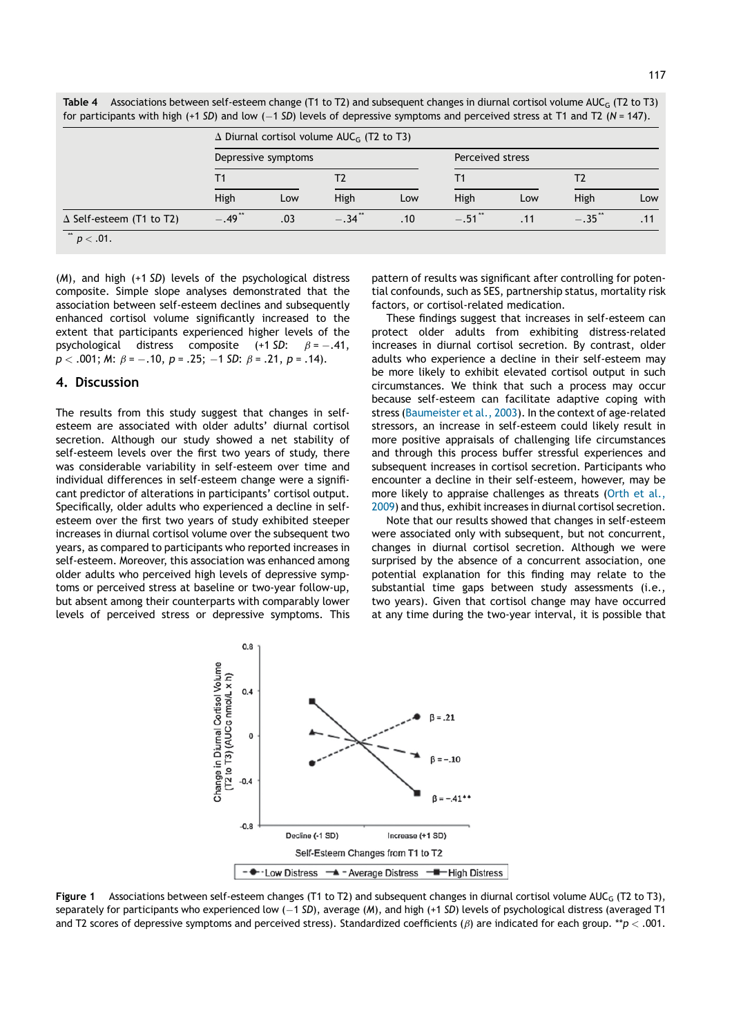$.34$ <sup>\*\*</sup>  $.10$   $-$ 

 $.49$ <sup>\*\*</sup>  $.03$  -

Table 4 Associations between self-esteem change (T1 to T2) and subsequent changes in diurnal cortisol volume AUC<sub>G</sub> (T2 to T3)

(M), and high (+1 SD) levels of the psychological distress composite. Simple slope analyses demonstrated that the association between self-esteem declines and subsequently enhanced cortisol volume significantly increased to the extent that participants experienced higher levels of the psychological distress composite  $(+1 SD: \beta = -.41,$  $p < .001; M: \beta = -.10, p = .25; -1 SD: \beta = .21, p = .14).$ 

 $\triangle$  Self-esteem (T1 to T2)  $-.49$ 

#### 4. Discussion

 $p < .01$ .

The results from this study suggest that changes in selfesteem are associated with older adults' diurnal cortisol secretion. Although our study showed a net stability of self-esteem levels over the first two years of study, there was considerable variability in self-esteem over time and individual differences in self-esteem change were a significant predictor of alterations in participants' cortisol output. Specifically, older adults who experienced a decline in selfesteem over the first two years of study exhibited steeper increases in diurnal cortisol volume over the subsequent two years, as compared to participants who reported increases in self-esteem. Moreover, this association was enhanced among older adults who perceived high levels of depressive symptoms or perceived stress at baseline or two-year follow-up, but absent among their counterparts with comparably lower levels of perceived stress or depressive symptoms. This pattern of results was significant after controlling for potential confounds, such as SES, partnership status, mortality risk factors, or cortisol-related medication.

 $.51$   $.11$   $-$ 

These findings suggest that increases in self-esteem can protect older adults from exhibiting distress-related increases in diurnal cortisol secretion. By contrast, older adults who experience a decline in their self-esteem may be more likely to exhibit elevated cortisol output in such circumstances. We think that such a process may occur because self-esteem can facilitate adaptive coping with stress (Baumeister et al., 2003). In the context of age-related stressors, an increase in self-esteem could likely result in more positive appraisals of challenging life circumstances and through this process buffer stressful experiences and subsequent increases in cortisol secretion. Participants who encounter a decline in their self-esteem, however, may be more likely to appraise challenges as threats (Orth et al., 2009) and thus, exhibit increases in diurnal cortisol secretion.

Note that our results showed that changes in self-esteem were associated only with subsequent, but not concurrent, changes in diurnal cortisol secretion. Although we were surprised by the absence of a concurrent association, one potential explanation for this finding may relate to the substantial time gaps between study assessments (i.e., two years). Given that cortisol change may have occurred at any time during the two-year interval, it is possible that



Figure 1 Associations between self-esteem changes (T1 to T2) and subsequent changes in diurnal cortisol volume AUC<sub>G</sub> (T2 to T3), separately for participants who experienced low ( $-1$  SD), average (M), and high (+1 SD) levels of psychological distress (averaged T1 and T2 scores of depressive symptoms and perceived stress). Standardized coefficients ( $\beta$ ) are indicated for each group. \*\*p < .001.

 $-.35$ \*\* .11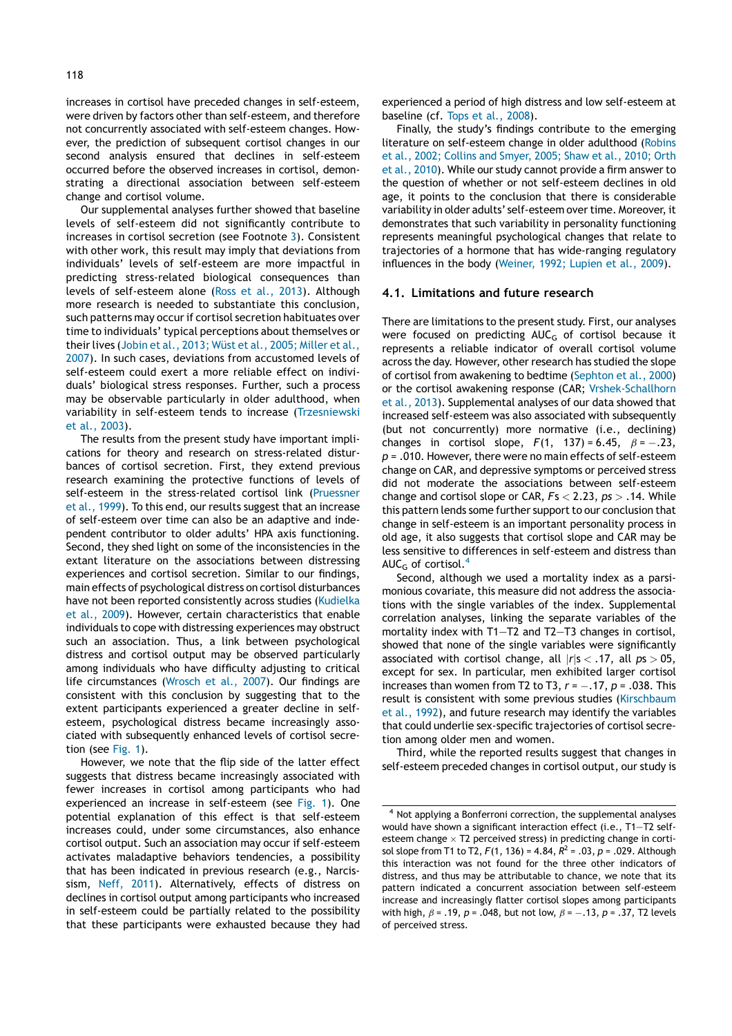increases in cortisol have preceded changes in self-esteem, were driven by factors other than self-esteem, and therefore not concurrently associated with self-esteem changes. However, the prediction of subsequent cortisol changes in our second analysis ensured that declines in self-esteem occurred before the observed increases in cortisol, demonstrating a directional association between self-esteem change and cortisol volume.

Our supplemental analyses further showed that baseline levels of self-esteem did not significantly contribute to increases in cortisol secretion (see Footnote 3). Consistent with other work, this result may imply that deviations from individuals' levels of self-esteem are more impactful in predicting stress-related biological consequences than levels of self-esteem alone (Ross et al., 2013). Although more research is needed to substantiate this conclusion, such patterns may occur if cortisol secretion habituates over time to individuals' typical perceptions about themselves or their lives (Jobin et al., 2013; Wüst et al., 2005; Miller et al., 2007). In such cases, deviations from accustomed levels of self-esteem could exert a more reliable effect on individuals' biological stress responses. Further, such a process may be observable particularly in older adulthood, when variability in self-esteem tends to increase (Trzesniewski et al., 2003).

The results from the present study have important implications for theory and research on stress-related disturbances of cortisol secretion. First, they extend previous research examining the protective functions of levels of self-esteem in the stress-related cortisol link (Pruessner et al., 1999). To this end, our results suggest that an increase of self-esteem over time can also be an adaptive and independent contributor to older adults' HPA axis functioning. Second, they shed light on some of the inconsistencies in the extant literature on the associations between distressing experiences and cortisol secretion. Similar to our findings, main effects of psychological distress on cortisol disturbances have not been reported consistently across studies (Kudielka et al., 2009). However, certain characteristics that enable individuals to cope with distressing experiences may obstruct such an association. Thus, a link between psychological distress and cortisol output may be observed particularly among individuals who have difficulty adjusting to critical life circumstances (Wrosch et al., 2007). Our findings are consistent with this conclusion by suggesting that to the extent participants experienced a greater decline in selfesteem, psychological distress became increasingly associated with subsequently enhanced levels of cortisol secretion (see Fig. 1).

However, we note that the flip side of the latter effect suggests that distress became increasingly associated with fewer increases in cortisol among participants who had experienced an increase in self-esteem (see Fig. 1). One potential explanation of this effect is that self-esteem increases could, under some circumstances, also enhance cortisol output. Such an association may occur if self-esteem activates maladaptive behaviors tendencies, a possibility that has been indicated in previous research (e.g., Narcissism, Neff, 2011). Alternatively, effects of distress on declines in cortisol output among participants who increased in self-esteem could be partially related to the possibility that these participants were exhausted because they had

experienced a period of high distress and low self-esteem at baseline (cf. Tops et al., 2008).

Finally, the study's findings contribute to the emerging literature on self-esteem change in older adulthood (Robins et al., 2002; Collins and Smyer, 2005; Shaw et al., 2010; Orth et al., 2010). While our study cannot provide a firm answer to the question of whether or not self-esteem declines in old age, it points to the conclusion that there is considerable variability in older adults' self-esteem over time. Moreover, it demonstrates that such variability in personality functioning represents meaningful psychological changes that relate to trajectories of a hormone that has wide-ranging regulatory influences in the body (Weiner, 1992; Lupien et al., 2009).

#### 4.1. Limitations and future research

There are limitations to the present study. First, our analyses were focused on predicting AUC<sub>G</sub> of cortisol because it represents a reliable indicator of overall cortisol volume across the day. However, other research has studied the slope of cortisol from awakening to bedtime (Sephton et al., 2000) or the cortisol awakening response (CAR; Vrshek-Schallhorn et al., 2013). Supplemental analyses of our data showed that increased self-esteem was also associated with subsequently (but not concurrently) more normative (i.e., declining) changes in cortisol slope,  $F(1, 137) = 6.45$ ,  $\beta = -.23$ ,  $p = .010$ . However, there were no main effects of self-esteem change on CAR, and depressive symptoms or perceived stress did not moderate the associations between self-esteem change and cortisol slope or CAR,  $Fs < 2.23$ ,  $ps > .14$ . While this pattern lends some further support to our conclusion that change in self-esteem is an important personality process in old age, it also suggests that cortisol slope and CAR may be less sensitive to differences in self-esteem and distress than AUC<sub>G</sub> of cortisol.<sup>4</sup>

Second, although we used a mortality index as a parsimonious covariate, this measure did not address the associations with the single variables of the index. Supplemental correlation analyses, linking the separate variables of the mortality index with T1—T2 and T2—T3 changes in cortisol, showed that none of the single variables were significantly associated with cortisol change, all  $|r|s < .17$ , all  $ps > 05$ , except for sex. In particular, men exhibited larger cortisol increases than women from T2 to T3,  $r = -.17$ ,  $p = .038$ . This result is consistent with some previous studies (Kirschbaum et al., 1992), and future research may identify the variables that could underlie sex-specific trajectories of cortisol secretion among older men and women.

Third, while the reported results suggest that changes in self-esteem preceded changes in cortisol output, our study is

<sup>4</sup> Not applying a Bonferroni correction, the supplemental analyses would have shown a significant interaction effect (i.e., T1—T2 selfesteem change  $\times$  T2 perceived stress) in predicting change in cortisol slope from T1 to T2,  $F(1, 136) = 4.84$ ,  $R^2 = .03$ ,  $p = .029$ . Although this interaction was not found for the three other indicators of distress, and thus may be attributable to chance, we note that its pattern indicated a concurrent association between self-esteem increase and increasingly flatter cortisol slopes among participants with high,  $\beta$  = .19,  $p$  = .048, but not low,  $\beta$  =  $-$ .13,  $p$  = .37, T2 levels of perceived stress.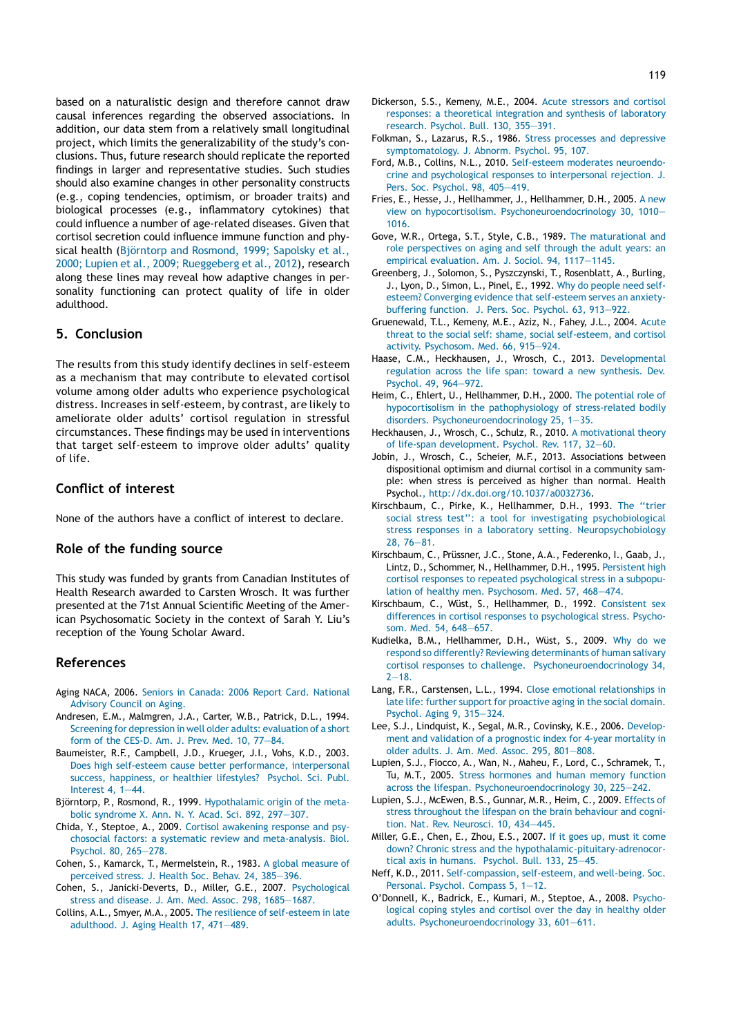based on a naturalistic design and therefore cannot draw causal inferences regarding the observed associations. In addition, our data stem from a relatively small longitudinal project, which limits the generalizability of the study's conclusions. Thus, future research should replicate the reported findings in larger and representative studies. Such studies should also examine changes in other personality constructs (e.g., coping tendencies, optimism, or broader traits) and biological processes (e.g., inflammatory cytokines) that could influence a number of age-related diseases. Given that cortisol secretion could influence immune function and physical health (Björntorp and Rosmond, 1999; Sapolsky et al., 2000; Lupien et al., 2009; Rueggeberg et al., 2012), research along these lines may reveal how adaptive changes in personality functioning can protect quality of life in older adulthood.

### 5. Conclusion

The results from this study identify declines in self-esteem as a mechanism that may contribute to elevated cortisol volume among older adults who experience psychological distress. Increases in self-esteem, by contrast, are likely to ameliorate older adults' cortisol regulation in stressful circumstances. These findings may be used in interventions that target self-esteem to improve older adults' quality of life.

## Conflict of interest

None of the authors have a conflict of interest to declare.

### Role of the funding source

This study was funded by grants from Canadian Institutes of Health Research awarded to Carsten Wrosch. It was further presented at the 71st Annual Scientific Meeting of the American Psychosomatic Society in the context of Sarah Y. Liu's reception of the Young Scholar Award.

#### References

- Aging NACA, 2006. Seniors in Canada: 2006 Report Card. National Advisory Council on Aging.
- Andresen, E.M., Malmgren, J.A., Carter, W.B., Patrick, D.L., 1994. Screening for depression in well older adults: evaluation of a short form of the CES-D. Am. J. Prev. Med. 10, 77—84.
- Baumeister, R.F., Campbell, J.D., Krueger, J.I., Vohs, K.D., 2003. Does high self-esteem cause better performance, interpersonal success, happiness, or healthier lifestyles? Psychol. Sci. Publ. Interest 4, 1—44.
- Björntorp, P., Rosmond, R., 1999. Hypothalamic origin of the metabolic syndrome X. Ann. N. Y. Acad. Sci. 892, 297—307.
- Chida, Y., Steptoe, A., 2009. Cortisol awakening response and psychosocial factors: a systematic review and meta-analysis. Biol. Psychol. 80, 265—278.
- Cohen, S., Kamarck, T., Mermelstein, R., 1983. A global measure of perceived stress. J. Health Soc. Behav. 24, 385—396.
- Cohen, S., Janicki-Deverts, D., Miller, G.E., 2007. Psychological stress and disease. J. Am. Med. Assoc. 298, 1685—1687.
- Collins, A.L., Smyer, M.A., 2005. The resilience of self-esteem in late adulthood. J. Aging Health 17, 471—489.
- Dickerson, S.S., Kemeny, M.E., 2004. Acute stressors and cortisol responses: a theoretical integration and synthesis of laboratory research. Psychol. Bull. 130, 355—391.
- Folkman, S., Lazarus, R.S., 1986. Stress processes and depressive symptomatology. J. Abnorm. Psychol. 95, 107.
- Ford, M.B., Collins, N.L., 2010. Self-esteem moderates neuroendocrine and psychological responses to interpersonal rejection. J. Pers. Soc. Psychol. 98, 405—419.
- Fries, E., Hesse, J., Hellhammer, J., Hellhammer, D.H., 2005. A new view on hypocortisolism. Psychoneuroendocrinology 30, 1010— 1016.
- Gove, W.R., Ortega, S.T., Style, C.B., 1989. The maturational and role perspectives on aging and self through the adult years: an empirical evaluation. Am. J. Sociol. 94, 1117—1145.
- Greenberg, J., Solomon, S., Pyszczynski, T., Rosenblatt, A., Burling, J., Lyon, D., Simon, L., Pinel, E., 1992. Why do people need selfesteem? Converging evidence that self-esteem serves an anxietybuffering function. J. Pers. Soc. Psychol. 63, 913—922.
- Gruenewald, T.L., Kemeny, M.E., Aziz, N., Fahey, J.L., 2004. Acute threat to the social self: shame, social self-esteem, and cortisol activity. Psychosom. Med. 66, 915—924.
- Haase, C.M., Heckhausen, J., Wrosch, C., 2013. Developmental regulation across the life span: toward a new synthesis. Dev. Psychol. 49, 964—972.
- Heim, C., Ehlert, U., Hellhammer, D.H., 2000. The potential role of hypocortisolism in the pathophysiology of stress-related bodily disorders. Psychoneuroendocrinology 25, 1—35.
- Heckhausen, J., Wrosch, C., Schulz, R., 2010. A motivational theory of life-span development. Psychol. Rev. 117, 32—60.
- Jobin, J., Wrosch, C., Scheier, M.F., 2013. Associations between dispositional optimism and diurnal cortisol in a community sample: when stress is perceived as higher than normal. Health Psychol., http://dx.doi.org/10.1037/a0032736.
- Kirschbaum, C., Pirke, K., Hellhammer, D.H., 1993. The ''trier social stress test'': a tool for investigating psychobiological stress responses in a laboratory setting. Neuropsychobiology 28, 76—81.
- Kirschbaum, C., Prüssner, J.C., Stone, A.A., Federenko, I., Gaab, J., Lintz, D., Schommer, N., Hellhammer, D.H., 1995. Persistent high cortisol responses to repeated psychological stress in a subpopulation of healthy men. Psychosom. Med. 57, 468—474.
- Kirschbaum, C., Wüst, S., Hellhammer, D., 1992. Consistent sex differences in cortisol responses to psychological stress. Psychosom. Med. 54, 648—657.
- Kudielka, B.M., Hellhammer, D.H., Wüst, S., 2009. Why do we respond so differently? Reviewing determinants of human salivary cortisol responses to challenge. Psychoneuroendocrinology 34,  $2 - 18.$
- Lang, F.R., Carstensen, L.L., 1994. Close emotional relationships in late life: further support for proactive aging in the social domain. Psychol. Aging 9, 315—324.
- Lee, S.J., Lindquist, K., Segal, M.R., Covinsky, K.E., 2006. Development and validation of a prognostic index for 4-year mortality in older adults. J. Am. Med. Assoc. 295, 801—808.
- Lupien, S.J., Fiocco, A., Wan, N., Maheu, F., Lord, C., Schramek, T., Tu, M.T., 2005. Stress hormones and human memory function across the lifespan. Psychoneuroendocrinology 30, 225—242.
- Lupien, S.J., McEwen, B.S., Gunnar, M.R., Heim, C., 2009. Effects of stress throughout the lifespan on the brain behaviour and cognition. Nat. Rev. Neurosci. 10, 434—445.
- Miller, G.E., Chen, E., Zhou, E.S., 2007. If it goes up, must it come down? Chronic stress and the hypothalamic-pituitary-adrenocortical axis in humans. Psychol. Bull. 133, 25—45.
- Neff, K.D., 2011. Self-compassion, self-esteem, and well-being. Soc. Personal. Psychol. Compass 5, 1—12.
- O'Donnell, K., Badrick, E., Kumari, M., Steptoe, A., 2008. Psychological coping styles and cortisol over the day in healthy older adults. Psychoneuroendocrinology 33, 601—611.